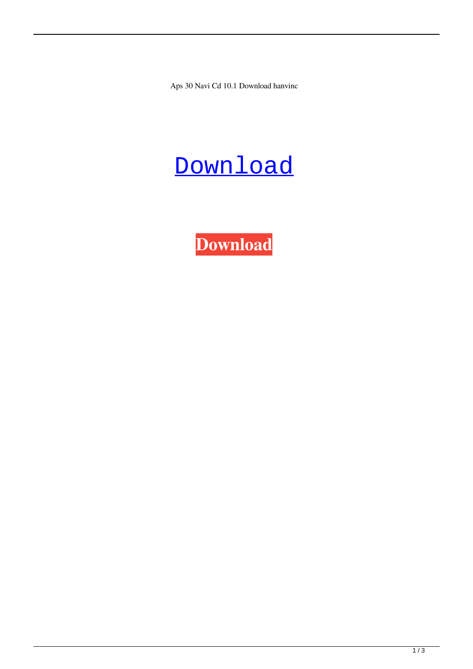Aps 30 Navi Cd 10.1 Download hanvinc

## <u>Download</u>

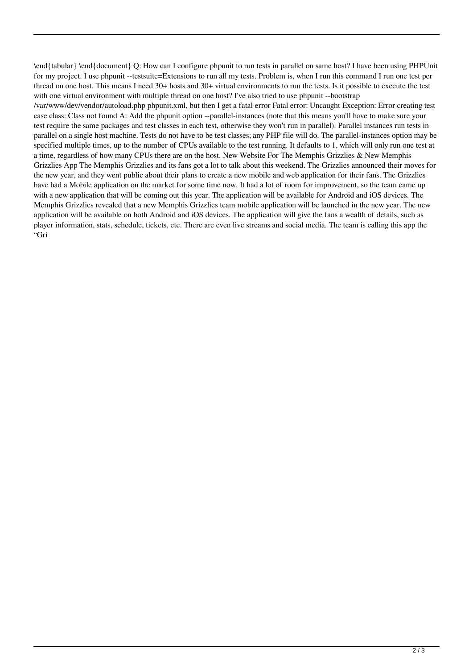\end{tabular} \end{document} Q: How can I configure phpunit to run tests in parallel on same host? I have been using PHPUnit for my project. I use phpunit --testsuite=Extensions to run all my tests. Problem is, when I run this command I run one test per thread on one host. This means I need 30+ hosts and 30+ virtual environments to run the tests. Is it possible to execute the test with one virtual environment with multiple thread on one host? I've also tried to use phpunit --bootstrap /var/www/dev/vendor/autoload.php phpunit.xml, but then I get a fatal error Fatal error: Uncaught Exception: Error creating test case class: Class not found A: Add the phpunit option --parallel-instances (note that this means you'll have to make sure your test require the same packages and test classes in each test, otherwise they won't run in parallel). Parallel instances run tests in parallel on a single host machine. Tests do not have to be test classes; any PHP file will do. The parallel-instances option may be specified multiple times, up to the number of CPUs available to the test running. It defaults to 1, which will only run one test at a time, regardless of how many CPUs there are on the host. New Website For The Memphis Grizzlies & New Memphis Grizzlies App The Memphis Grizzlies and its fans got a lot to talk about this weekend. The Grizzlies announced their moves for the new year, and they went public about their plans to create a new mobile and web application for their fans. The Grizzlies have had a Mobile application on the market for some time now. It had a lot of room for improvement, so the team came up with a new application that will be coming out this year. The application will be available for Android and iOS devices. The Memphis Grizzlies revealed that a new Memphis Grizzlies team mobile application will be launched in the new year. The new application will be available on both Android and iOS devices. The application will give the fans a wealth of details, such as player information, stats, schedule, tickets, etc. There are even live streams and social media. The team is calling this app the "Gri